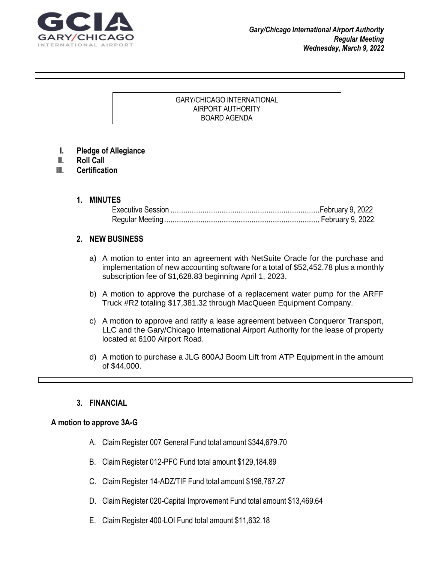

### GARY/CHICAGO INTERNATIONAL AIRPORT AUTHORITY BOARD AGENDA

- **I. Pledge of Allegiance**
- **II. Roll Call**
- **III. Certification**

### **1. MINUTES**

# **2. NEW BUSINESS**

- a) A motion to enter into an agreement with NetSuite Oracle for the purchase and implementation of new accounting software for a total of \$52,452.78 plus a monthly subscription fee of \$1,628.83 beginning April 1, 2023.
- b) A motion to approve the purchase of a replacement water pump for the ARFF Truck #R2 totaling \$17,381.32 through MacQueen Equipment Company.
- c) A motion to approve and ratify a lease agreement between Conqueror Transport, LLC and the Gary/Chicago International Airport Authority for the lease of property located at 6100 Airport Road.
- d) A motion to purchase a JLG 800AJ Boom Lift from ATP Equipment in the amount of \$44,000.

# **3. FINANCIAL**

# **A motion to approve 3A-G**

- A. Claim Register 007 General Fund total amount \$344,679.70
- B. Claim Register 012-PFC Fund total amount \$129,184.89
- C. Claim Register 14-ADZ/TIF Fund total amount \$198,767.27
- D. Claim Register 020-Capital Improvement Fund total amount \$13,469.64
- E. Claim Register 400-LOI Fund total amount \$11,632.18